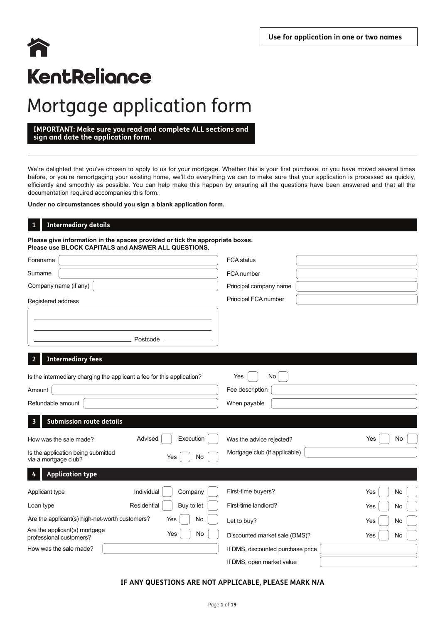# 谷 KentReliance

# Mortgage application form

**IMPORTANT: Make sure you read and complete ALL sections and sign and date the application form.**

We're delighted that you've chosen to apply to us for your mortgage. Whether this is your first purchase, or you have moved several times before, or you're remortgaging your existing home, we'll do everything we can to make sure that your application is processed as quickly, efficiently and smoothly as possible. You can help make this happen by ensuring all the questions have been answered and that all the documentation required accompanies this form.

**Under no circumstances should you sign a blank application form.**

## **Intermediary details**

**1**

**Please give information in the spaces provided or tick the appropriate boxes. Please use BLOCK CAPITALS and ANSWER ALL QUESTIONS.**

| Forename                                                                         |     | <b>FCA</b> status                 |           |
|----------------------------------------------------------------------------------|-----|-----------------------------------|-----------|
| Surname                                                                          |     | FCA number                        |           |
| Company name (if any)                                                            |     | Principal company name            |           |
| Registered address                                                               |     | Principal FCA number              |           |
|                                                                                  |     |                                   |           |
| Postcode                                                                         |     |                                   |           |
| <b>Intermediary fees</b><br>2                                                    |     |                                   |           |
| Is the intermediary charging the applicant a fee for this application?<br>Amount |     | No<br>Yes<br>Fee description      |           |
| Refundable amount                                                                |     | When payable                      |           |
| <b>Submission route details</b><br>3                                             |     |                                   |           |
| Advised<br>Execution<br>How was the sale made?                                   |     | Was the advice rejected?          | Yes<br>No |
| Is the application being submitted<br>Yes<br>via a mortgage club?                | No  | Mortgage club (if applicable)     |           |
| <b>Application type</b><br>4                                                     |     |                                   |           |
| Individual<br>Company<br>Applicant type                                          |     | First-time buyers?                | Yes<br>No |
| Residential<br>Buy to let<br>Loan type                                           |     | First-time landlord?              | Yes<br>No |
| Are the applicant(s) high-net-worth customers?<br>Yes                            | No. | Let to buy?                       | Yes<br>No |
| Are the applicant(s) mortgage<br>Yes<br>professional customers?                  | No  | Discounted market sale (DMS)?     | Yes<br>No |
| How was the sale made?                                                           |     | If DMS, discounted purchase price |           |
|                                                                                  |     | If DMS, open market value         |           |

## **IF ANY QUESTIONS ARE NOT APPLICABLE, PLEASE MARK N/A**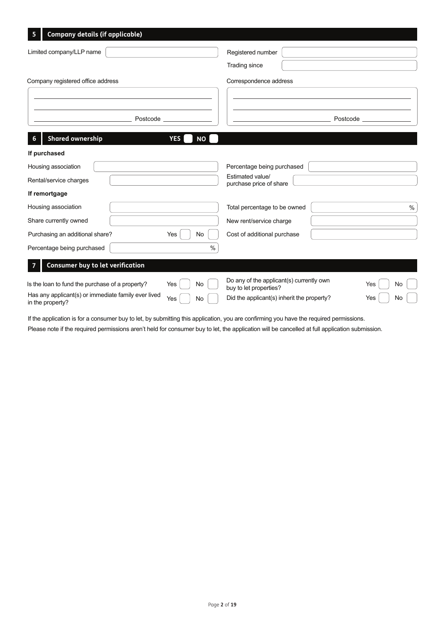| <b>Company details (if applicable)</b><br>5                             |                         |                                                                    |           |
|-------------------------------------------------------------------------|-------------------------|--------------------------------------------------------------------|-----------|
| Limited company/LLP name                                                |                         | Registered number                                                  |           |
| Company registered office address                                       |                         | Trading since<br>Correspondence address                            |           |
| Postcode                                                                |                         |                                                                    | Postcode  |
| <b>Shared ownership</b>                                                 | <b>YES</b><br><b>NO</b> |                                                                    |           |
| If purchased                                                            |                         |                                                                    |           |
| Housing association                                                     |                         | Percentage being purchased                                         |           |
| Rental/service charges                                                  |                         | Estimated value/<br>purchase price of share                        |           |
| If remortgage                                                           |                         |                                                                    |           |
| Housing association                                                     |                         | Total percentage to be owned                                       | $\%$      |
| Share currently owned                                                   |                         | New rent/service charge                                            |           |
| Purchasing an additional share?                                         | Yes<br>No               | Cost of additional purchase                                        |           |
| Percentage being purchased                                              | $\%$                    |                                                                    |           |
| <b>Consumer buy to let verification</b>                                 |                         |                                                                    |           |
| Is the loan to fund the purchase of a property?                         | Yes<br>No               | Do any of the applicant(s) currently own<br>buy to let properties? | Yes<br>No |
| Has any applicant(s) or immediate family ever lived<br>in the property? | Yes<br>No               | Did the applicant(s) inherit the property?                         | Yes<br>No |

If the application is for a consumer buy to let, by submitting this application, you are confirming you have the required permissions.

Please note if the required permissions aren't held for consumer buy to let, the application will be cancelled at full application submission.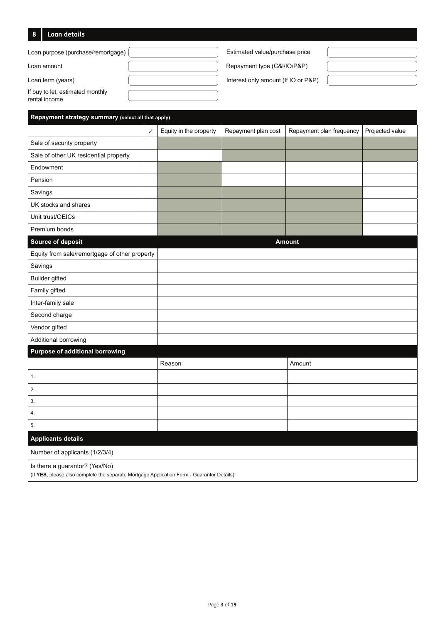## **8 Loan details**

| Loan purpose (purchase/remortgage)                | Estimated value/purchase price      |  |
|---------------------------------------------------|-------------------------------------|--|
| Loan amount                                       | Repayment type (C&I/IO/P&P)         |  |
| Loan term (years)                                 | Interest only amount (If IO or P&P) |  |
| If buy to let, estimated monthly<br>rental income |                                     |  |

| Repayment strategy summary (select all that apply)                                                                          |              |                        |                     |                          |                 |  |
|-----------------------------------------------------------------------------------------------------------------------------|--------------|------------------------|---------------------|--------------------------|-----------------|--|
|                                                                                                                             | $\checkmark$ | Equity in the property | Repayment plan cost | Repayment plan frequency | Projected value |  |
| Sale of security property                                                                                                   |              |                        |                     |                          |                 |  |
| Sale of other UK residential property                                                                                       |              |                        |                     |                          |                 |  |
| Endowment                                                                                                                   |              |                        |                     |                          |                 |  |
| Pension                                                                                                                     |              |                        |                     |                          |                 |  |
| Savings                                                                                                                     |              |                        |                     |                          |                 |  |
| UK stocks and shares                                                                                                        |              |                        |                     |                          |                 |  |
| Unit trust/OEICs                                                                                                            |              |                        |                     |                          |                 |  |
| Premium bonds                                                                                                               |              |                        |                     |                          |                 |  |
| Source of deposit                                                                                                           |              |                        |                     | <b>Amount</b>            |                 |  |
| Equity from sale/remortgage of other property                                                                               |              |                        |                     |                          |                 |  |
| Savings                                                                                                                     |              |                        |                     |                          |                 |  |
| Builder gifted                                                                                                              |              |                        |                     |                          |                 |  |
| Family gifted                                                                                                               |              |                        |                     |                          |                 |  |
| Inter-family sale                                                                                                           |              |                        |                     |                          |                 |  |
| Second charge                                                                                                               |              |                        |                     |                          |                 |  |
| Vendor gifted                                                                                                               |              |                        |                     |                          |                 |  |
| Additional borrowing                                                                                                        |              |                        |                     |                          |                 |  |
| <b>Purpose of additional borrowing</b>                                                                                      |              |                        |                     |                          |                 |  |
|                                                                                                                             |              | Reason                 |                     | Amount                   |                 |  |
| 1.                                                                                                                          |              |                        |                     |                          |                 |  |
| 2.                                                                                                                          |              |                        |                     |                          |                 |  |
| 3.                                                                                                                          |              |                        |                     |                          |                 |  |
| 4.                                                                                                                          |              |                        |                     |                          |                 |  |
| 5.                                                                                                                          |              |                        |                     |                          |                 |  |
| <b>Applicants details</b>                                                                                                   |              |                        |                     |                          |                 |  |
| Number of applicants (1/2/3/4)                                                                                              |              |                        |                     |                          |                 |  |
| Is there a guarantor? (Yes/No)<br>(If YES, please also complete the separate Mortgage Application Form - Guarantor Details) |              |                        |                     |                          |                 |  |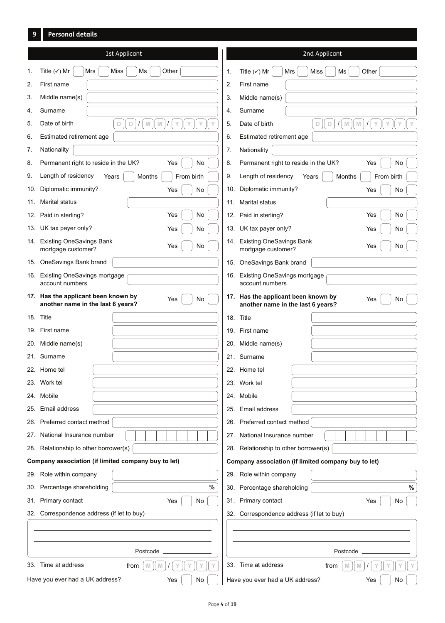## **9 Personal details**

| 1st Applicant                                                                          | 2nd Applicant                                                                         |
|----------------------------------------------------------------------------------------|---------------------------------------------------------------------------------------|
| Title $(\checkmark)$ Mr<br><b>Miss</b><br>Other<br>Ms<br>1.<br>Mrs                     | Title $(\checkmark)$ Mr<br>Other<br><b>Miss</b><br>Ms<br>1.<br>Mrs                    |
| 2.<br>First name                                                                       | 2.<br>First name                                                                      |
| 3.<br>Middle name(s)                                                                   | 3.<br>Middle name(s)                                                                  |
| Surname<br>4.                                                                          | Surname<br>4.                                                                         |
| 5.<br>Date of birth<br>D<br>$\left\  \text{V} \right\ $<br>$\mathbb{M}$<br>Y<br>Υ<br>D | $\mathbb D$<br>5.<br>Date of birth<br>$\Box$<br>$\mathbb N$<br>$\mathbb N$<br>Y       |
| 6.<br>Estimated retirement age                                                         | 6.<br>Estimated retirement age                                                        |
| 7.<br>Nationality                                                                      | Nationality<br>7.                                                                     |
| Permanent right to reside in the UK?<br>No<br>8.<br>Yes                                | 8.<br>Permanent right to reside in the UK?<br>Yes<br>No                               |
| Length of residency<br>9.<br>From birth<br>Years<br>Months                             | 9.<br>Length of residency<br>Months<br>From birth<br>Years                            |
| Diplomatic immunity?<br>10.<br>Yes<br>No                                               | 10. Diplomatic immunity?<br>Yes<br>No                                                 |
| 11. Marital status                                                                     | <b>Marital status</b><br>11.                                                          |
| 12. Paid in sterling?<br>No<br>Yes                                                     | No<br>12. Paid in sterling?<br>Yes                                                    |
| 13. UK tax payer only?<br>No<br>Yes                                                    | 13. UK tax payer only?<br>Yes<br>No                                                   |
| 14. Existing OneSavings Bank<br>Yes<br>No<br>mortgage customer?                        | 14. Existing OneSavings Bank<br>No<br>Yes<br>mortgage customer?                       |
| 15. OneSavings Bank brand                                                              | 15. OneSavings Bank brand                                                             |
| 16. Existing OneSavings mortgage<br>account numbers                                    | 16. Existing OneSavings mortgage<br>account numbers                                   |
| 17. Has the applicant been known by<br>Yes<br>No<br>another name in the last 6 years?  | 17. Has the applicant been known by<br>Yes<br>No<br>another name in the last 6 years? |
| 18. Title                                                                              | 18. Title                                                                             |
| 19. First name                                                                         | 19. First name                                                                        |
| 20. Middle name(s)                                                                     | 20. Middle name(s)                                                                    |
| 21. Surname                                                                            | 21. Surname                                                                           |
| 22. Home tel                                                                           | 22. Home tel                                                                          |
| 23. Work tel                                                                           | 23. Work tel                                                                          |
| 24. Mobile                                                                             | 24. Mobile                                                                            |
| Email address<br>25.                                                                   | 25. Email address                                                                     |
| 26. Preferred contact method                                                           | 26. Preferred contact method                                                          |
| National Insurance number<br>$2\ell$ .                                                 | 27. National Insurance number                                                         |
| 28. Relationship to other borrower(s)                                                  | 28. Relationship to other borrower(s)                                                 |
| Company association (if limited company buy to let)                                    | Company association (if limited company buy to let)                                   |
| 29. Role within company                                                                | 29. Role within company                                                               |
| %<br>30. Percentage shareholding                                                       | 30. Percentage shareholding<br>%                                                      |
| 31. Primary contact<br>Yes<br>No                                                       | 31. Primary contact<br>No<br>Yes                                                      |
| 32. Correspondence address (if let to buy)                                             | 32. Correspondence address (if let to buy)                                            |
|                                                                                        |                                                                                       |
| Postcode                                                                               | Postcode                                                                              |
| 33. Time at address<br>M<br>M<br>from                                                  | 33. Time at address<br>M<br>M<br>from                                                 |
| Have you ever had a UK address?<br>Yes<br>No                                           | Have you ever had a UK address?<br>Yes<br>No                                          |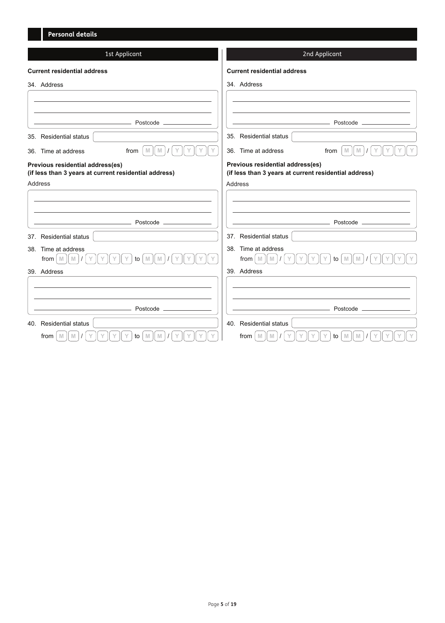| <b>Personal details</b>                                                                   |                                                                                           |
|-------------------------------------------------------------------------------------------|-------------------------------------------------------------------------------------------|
| 1st Applicant                                                                             | 2nd Applicant                                                                             |
| <b>Current residential address</b>                                                        | <b>Current residential address</b>                                                        |
| 34. Address                                                                               | 34. Address                                                                               |
|                                                                                           |                                                                                           |
| Postcode.                                                                                 | Postcode _                                                                                |
| 35. Residential status                                                                    | 35. Residential status                                                                    |
| from<br>$\mathbb N$<br>36. Time at address<br>M                                           | 36. Time at address<br>from<br>$\mathbb M$<br>M                                           |
| Previous residential address(es)<br>(if less than 3 years at current residential address) | Previous residential address(es)<br>(if less than 3 years at current residential address) |
| <b>Address</b>                                                                            | Address                                                                                   |
|                                                                                           |                                                                                           |
|                                                                                           |                                                                                           |
| Postcode.                                                                                 | Postcode _                                                                                |
| 37. Residential status                                                                    | 37. Residential status                                                                    |
| 38. Time at address                                                                       | 38. Time at address                                                                       |
| from $\vert$ M<br>M<br>to<br>$\mathbb N$<br>M                                             | from M<br>$\mathbb N$<br>M<br>M<br>to                                                     |
| 39. Address                                                                               | 39. Address                                                                               |
|                                                                                           |                                                                                           |
|                                                                                           |                                                                                           |
| Postcode _                                                                                | Postcode _                                                                                |
| 40. Residential status                                                                    | 40. Residential status                                                                    |
| M<br>from<br>to<br>M<br>M                                                                 | from<br>M<br>M<br>M<br>to<br>M                                                            |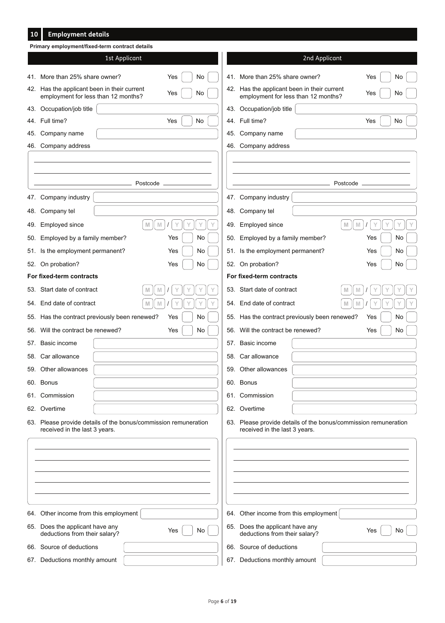#### **Employment details 10**

|     | Primary employment/fixed-term contract details                                                   |               |    |                                                                                                  |               |          |     |    |  |
|-----|--------------------------------------------------------------------------------------------------|---------------|----|--------------------------------------------------------------------------------------------------|---------------|----------|-----|----|--|
|     |                                                                                                  | 1st Applicant |    |                                                                                                  | 2nd Applicant |          |     |    |  |
|     | 41. More than 25% share owner?                                                                   | Yes           | No | 41. More than 25% share owner?                                                                   |               |          | Yes | No |  |
|     | 42. Has the applicant been in their current<br>employment for less than 12 months?               | Yes           | No | 42. Has the applicant been in their current<br>employment for less than 12 months?               |               |          | Yes | No |  |
|     | 43. Occupation/job title                                                                         |               |    | 43. Occupation/job title                                                                         |               |          |     |    |  |
|     | 44. Full time?                                                                                   | Yes           | No | 44. Full time?                                                                                   |               |          | Yes | No |  |
| 45. | Company name                                                                                     |               |    | 45. Company name                                                                                 |               |          |     |    |  |
|     | 46. Company address                                                                              |               |    | 46. Company address                                                                              |               |          |     |    |  |
|     |                                                                                                  |               |    |                                                                                                  |               |          |     |    |  |
|     |                                                                                                  | Postcode      |    |                                                                                                  |               | Postcode |     |    |  |
|     | 47. Company industry                                                                             |               |    | 47. Company industry                                                                             |               |          |     |    |  |
| 48. | Company tel                                                                                      |               |    | 48. Company tel                                                                                  |               |          |     |    |  |
| 49. | Employed since                                                                                   | M<br>M        | Υ  | 49. Employed since                                                                               |               | M<br>M   |     |    |  |
|     | 50. Employed by a family member?                                                                 | Yes           | No | 50. Employed by a family member?                                                                 |               |          | Yes | No |  |
| 51. | Is the employment permanent?                                                                     | Yes           | No | 51. Is the employment permanent?                                                                 |               |          | Yes | No |  |
|     | 52. On probation?                                                                                | Yes           | No | 52. On probation?                                                                                |               |          | Yes | No |  |
|     | For fixed-term contracts                                                                         |               |    | For fixed-term contracts                                                                         |               |          |     |    |  |
|     | 53. Start date of contract                                                                       | M             |    | 53. Start date of contract                                                                       |               | M        |     |    |  |
|     | 54. End date of contract                                                                         | M<br>M        |    | 54. End date of contract                                                                         |               | M<br>M   |     |    |  |
|     | 55. Has the contract previously been renewed?                                                    | Yes           | No | 55. Has the contract previously been renewed?                                                    |               |          | Yes | No |  |
| 56. | Will the contract be renewed?                                                                    | Yes           | No | 56. Will the contract be renewed?                                                                |               |          | Yes | No |  |
|     | 57. Basic income                                                                                 |               |    | 57. Basic income                                                                                 |               |          |     |    |  |
|     | 58. Car allowance                                                                                |               |    | 58. Car allowance                                                                                |               |          |     |    |  |
|     | 59. Other allowances                                                                             |               |    | 59. Other allowances                                                                             |               |          |     |    |  |
|     | 60. Bonus                                                                                        |               |    | 60. Bonus                                                                                        |               |          |     |    |  |
|     | 61. Commission                                                                                   |               |    | 61. Commission                                                                                   |               |          |     |    |  |
|     | 62. Overtime                                                                                     |               |    | 62. Overtime                                                                                     |               |          |     |    |  |
|     | 63. Please provide details of the bonus/commission remuneration<br>received in the last 3 years. |               |    | 63. Please provide details of the bonus/commission remuneration<br>received in the last 3 years. |               |          |     |    |  |
|     |                                                                                                  |               |    |                                                                                                  |               |          |     |    |  |
|     |                                                                                                  |               |    |                                                                                                  |               |          |     |    |  |
|     |                                                                                                  |               |    |                                                                                                  |               |          |     |    |  |
|     |                                                                                                  |               |    |                                                                                                  |               |          |     |    |  |
|     |                                                                                                  |               |    |                                                                                                  |               |          |     |    |  |
|     | 64. Other income from this employment                                                            |               |    | 64. Other income from this employment                                                            |               |          |     |    |  |
|     | 65. Does the applicant have any<br>deductions from their salary?                                 | Yes           | No | 65. Does the applicant have any<br>deductions from their salary?                                 |               |          | Yes | No |  |
|     | 66. Source of deductions                                                                         |               |    | 66. Source of deductions                                                                         |               |          |     |    |  |
|     | 67. Deductions monthly amount                                                                    |               |    | 67. Deductions monthly amount                                                                    |               |          |     |    |  |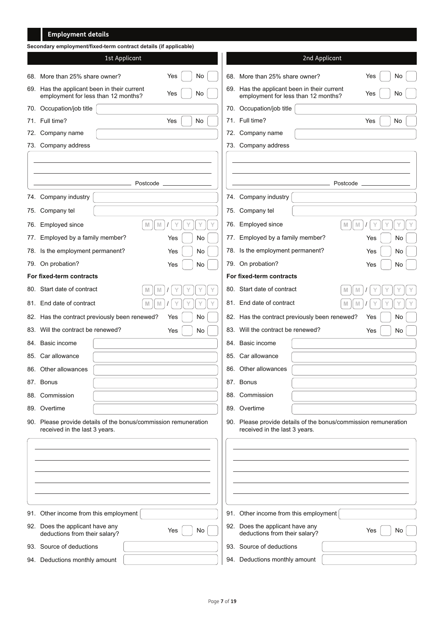## **Employment details**

|     | Secondary employment/fixed-term contract details (if applicable)                                 |                  |     |                                                                                    |                                                                 |     |    |  |
|-----|--------------------------------------------------------------------------------------------------|------------------|-----|------------------------------------------------------------------------------------|-----------------------------------------------------------------|-----|----|--|
|     | 1st Applicant                                                                                    |                  |     |                                                                                    | 2nd Applicant                                                   |     |    |  |
| 68. | More than 25% share owner?                                                                       | Yes<br>No        |     | 68. More than 25% share owner?                                                     |                                                                 | Yes | No |  |
|     | 69. Has the applicant been in their current<br>employment for less than 12 months?               | Yes<br>No        |     | 69. Has the applicant been in their current<br>employment for less than 12 months? |                                                                 | Yes | No |  |
|     | 70. Occupation/job title                                                                         |                  |     | 70. Occupation/job title                                                           |                                                                 |     |    |  |
|     | 71. Full time?                                                                                   | No<br>Yes        |     | 71. Full time?                                                                     |                                                                 | Yes | No |  |
| 72. | Company name                                                                                     |                  |     | 72. Company name                                                                   |                                                                 |     |    |  |
| 73. | Company address                                                                                  |                  |     | 73. Company address                                                                |                                                                 |     |    |  |
|     |                                                                                                  |                  |     |                                                                                    |                                                                 |     |    |  |
|     | Postcode                                                                                         |                  |     |                                                                                    | Postcode                                                        |     |    |  |
|     | 74. Company industry                                                                             |                  |     | 74. Company industry                                                               |                                                                 |     |    |  |
|     |                                                                                                  |                  |     |                                                                                    |                                                                 |     |    |  |
| 75. | Company tel                                                                                      |                  |     | 75. Company tel                                                                    |                                                                 |     |    |  |
| 76. | Employed since<br>M                                                                              | $\mathbb N$<br>Υ | 76. | Employed since                                                                     | $\mathbb{M}$<br>M                                               |     |    |  |
| 77. | Employed by a family member?                                                                     | No<br>Yes        | 77. | Employed by a family member?                                                       |                                                                 | Yes | No |  |
|     | 78. Is the employment permanent?                                                                 | No<br>Yes        |     | 78. Is the employment permanent?                                                   |                                                                 | Yes | No |  |
|     | 79. On probation?                                                                                | Yes<br>No        |     | 79. On probation?                                                                  |                                                                 | Yes | No |  |
|     | For fixed-term contracts                                                                         |                  |     | For fixed-term contracts                                                           |                                                                 |     |    |  |
|     | 80. Start date of contract                                                                       | M                |     | 80. Start date of contract                                                         | M                                                               |     |    |  |
|     | 81. End date of contract                                                                         | M                |     | 81. End date of contract                                                           | M                                                               |     |    |  |
|     | 82. Has the contract previously been renewed?                                                    | Yes<br>No        |     | 82. Has the contract previously been renewed?                                      |                                                                 | Yes | No |  |
| 83. | Will the contract be renewed?                                                                    | No<br>Yes        |     | 83. Will the contract be renewed?                                                  |                                                                 | Yes | No |  |
|     | 84. Basic income                                                                                 |                  |     | 84. Basic income                                                                   |                                                                 |     |    |  |
|     | 85. Car allowance                                                                                |                  |     | 85. Car allowance                                                                  |                                                                 |     |    |  |
|     | 86. Other allowances                                                                             |                  |     | 86. Other allowances                                                               |                                                                 |     |    |  |
|     | 87. Bonus                                                                                        |                  |     | 87. Bonus                                                                          |                                                                 |     |    |  |
|     | 88. Commission                                                                                   |                  |     | 88. Commission                                                                     |                                                                 |     |    |  |
|     | 89. Overtime                                                                                     |                  |     | 89. Overtime                                                                       |                                                                 |     |    |  |
|     | 90. Please provide details of the bonus/commission remuneration<br>received in the last 3 years. |                  |     | received in the last 3 years.                                                      | 90. Please provide details of the bonus/commission remuneration |     |    |  |
|     |                                                                                                  |                  |     |                                                                                    |                                                                 |     |    |  |
|     |                                                                                                  |                  |     |                                                                                    |                                                                 |     |    |  |
|     |                                                                                                  |                  |     |                                                                                    |                                                                 |     |    |  |
|     |                                                                                                  |                  |     |                                                                                    |                                                                 |     |    |  |
|     |                                                                                                  |                  |     |                                                                                    |                                                                 |     |    |  |
|     |                                                                                                  |                  |     |                                                                                    |                                                                 |     |    |  |
|     | 91. Other income from this employment                                                            |                  |     | 91. Other income from this employment                                              |                                                                 |     |    |  |
|     | 92. Does the applicant have any<br>deductions from their salary?                                 | No<br>Yes        |     | 92. Does the applicant have any<br>deductions from their salary?                   |                                                                 | Yes | No |  |
|     | 93. Source of deductions                                                                         |                  |     | 93. Source of deductions                                                           |                                                                 |     |    |  |
|     | 94. Deductions monthly amount                                                                    |                  |     | 94. Deductions monthly amount                                                      |                                                                 |     |    |  |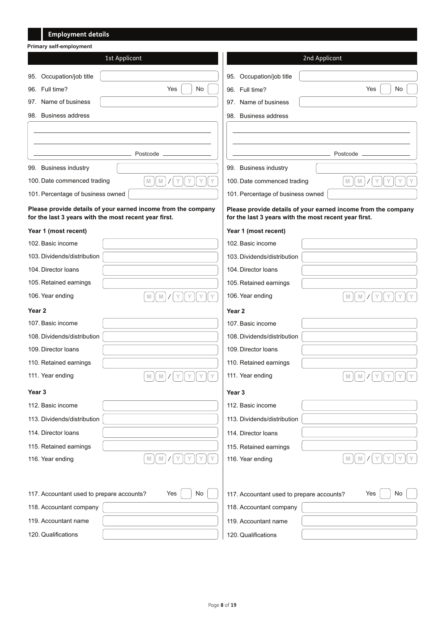| <b>Employment details</b>                                        |                                                               |
|------------------------------------------------------------------|---------------------------------------------------------------|
| <b>Primary self-employment</b>                                   |                                                               |
| 1st Applicant                                                    | 2nd Applicant                                                 |
| Occupation/job title<br>95.                                      | Occupation/job title<br>95.                                   |
| Yes<br>No<br>96. Full time?                                      | No<br>Yes<br>96. Full time?                                   |
| 97. Name of business                                             | 97. Name of business                                          |
| 98. Business address                                             | 98. Business address                                          |
|                                                                  |                                                               |
|                                                                  |                                                               |
| Postcode                                                         | Postcode                                                      |
| 99. Business industry                                            | 99. Business industry                                         |
| ${\mathbb M}$<br>$\mathbb N$<br>Υ<br>100. Date commenced trading | $\mathbb N$<br>100. Date commenced trading<br>$\mathbb N$     |
| 101. Percentage of business owned                                | 101. Percentage of business owned                             |
| Please provide details of your earned income from the company    | Please provide details of your earned income from the company |
| for the last 3 years with the most recent year first.            | for the last 3 years with the most recent year first.         |
| Year 1 (most recent)                                             | Year 1 (most recent)                                          |
| 102. Basic income                                                | 102. Basic income                                             |
| 103. Dividends/distribution                                      | 103. Dividends/distribution                                   |
| 104. Director Ioans                                              | 104. Director loans                                           |
| 105. Retained earnings                                           | 105. Retained earnings                                        |
| 106. Year ending<br>${\mathbb N}$<br>M                           | 106. Year ending<br>$\mathbb N$<br>M                          |
| Year <sub>2</sub>                                                | Year <sub>2</sub>                                             |
| 107. Basic income                                                | 107. Basic income                                             |
| 108. Dividends/distribution                                      | 108. Dividends/distribution                                   |
| 109. Director Ioans                                              | 109. Director Ioans                                           |
| 110. Retained earnings                                           | 110. Retained earnings                                        |
| 111. Year ending<br>${\mathbb M}$<br>Y<br>M                      | 111. Year ending<br>$\mathbbmss{M}$<br>$\mathbb N$            |
| Year <sub>3</sub>                                                | Year 3                                                        |
| 112. Basic income                                                | 112. Basic income                                             |
| 113. Dividends/distribution                                      | 113. Dividends/distribution                                   |
| 114. Director loans                                              | 114. Director loans                                           |
| 115. Retained earnings                                           | 115. Retained earnings                                        |
| M<br>116. Year ending<br>M                                       | $\mathbb N$<br>M<br>116. Year ending                          |
|                                                                  |                                                               |
|                                                                  |                                                               |
| No<br>117. Accountant used to prepare accounts?<br>Yes           | No<br>117. Accountant used to prepare accounts?<br>Yes        |
| 118. Accountant company                                          | 118. Accountant company                                       |
| 119. Accountant name                                             | 119. Accountant name                                          |
| 120. Qualifications                                              | 120. Qualifications                                           |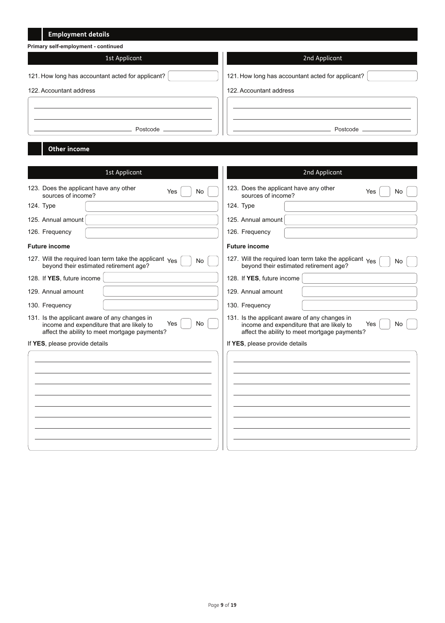| <b>Employment details</b>                                                                               |                                                                                                         |
|---------------------------------------------------------------------------------------------------------|---------------------------------------------------------------------------------------------------------|
| Primary self-employment - continued                                                                     |                                                                                                         |
| 1st Applicant                                                                                           | 2nd Applicant                                                                                           |
| 121. How long has accountant acted for applicant?                                                       | 121. How long has accountant acted for applicant?                                                       |
| 122. Accountant address                                                                                 | 122. Accountant address                                                                                 |
|                                                                                                         |                                                                                                         |
|                                                                                                         |                                                                                                         |
| Postcode _______                                                                                        | Postcode _________                                                                                      |
|                                                                                                         |                                                                                                         |
| <b>Other income</b>                                                                                     |                                                                                                         |
|                                                                                                         |                                                                                                         |
| 1st Applicant                                                                                           | 2nd Applicant                                                                                           |
| 123. Does the applicant have any other<br>Yes<br>No<br>sources of income?                               | 123. Does the applicant have any other<br>Yes<br>No.<br>sources of income?                              |
| 124. Type                                                                                               | 124. Type                                                                                               |
| 125. Annual amount                                                                                      | 125. Annual amount                                                                                      |
| 126. Frequency                                                                                          | 126. Frequency                                                                                          |
| <b>Future income</b>                                                                                    | <b>Future income</b>                                                                                    |
| 127. Will the required loan term take the applicant Yes<br>No<br>beyond their estimated retirement age? | 127. Will the required loan term take the applicant Yes<br>No<br>beyond their estimated retirement age? |
| 128. If YES, future income                                                                              | 128. If YES, future income                                                                              |
| 129. Annual amount                                                                                      | 129. Annual amount                                                                                      |
| 130. Frequency                                                                                          | 130. Frequency                                                                                          |

131. Is the applicant aware of any changes in income and expenditure that are likely to affect the ability to meet mortgage payments? Yes No Yes No

|  |  |  | If YES, please provide details |  |
|--|--|--|--------------------------------|--|
|--|--|--|--------------------------------|--|

| affect the ability to meet mortgage payments? | affect the ability to meet mortgage payments? |
|-----------------------------------------------|-----------------------------------------------|
| f YES, please provide details                 | If YES, please provide details                |
|                                               |                                               |
|                                               |                                               |
|                                               |                                               |
|                                               |                                               |
|                                               |                                               |
|                                               |                                               |
|                                               |                                               |
|                                               |                                               |

131. Is the applicant aware of any changes in income and expenditure that are likely to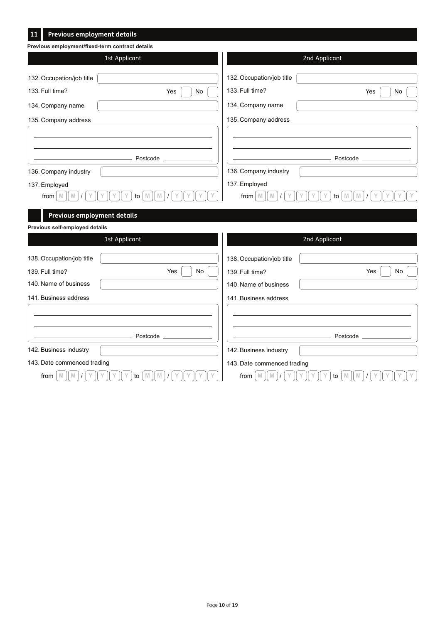| Previous employment details<br><u>11</u>        |                                  |                                    |                                   |
|-------------------------------------------------|----------------------------------|------------------------------------|-----------------------------------|
| Previous employment/fixed-term contract details |                                  |                                    |                                   |
|                                                 | 1st Applicant                    |                                    | 2nd Applicant                     |
| 132. Occupation/job title                       |                                  | 132. Occupation/job title          |                                   |
| 133. Full time?                                 | Yes<br>No                        | 133. Full time?                    | Yes<br>No                         |
| 134. Company name                               |                                  | 134. Company name                  |                                   |
| 135. Company address                            |                                  | 135. Company address               |                                   |
|                                                 |                                  |                                    |                                   |
|                                                 | Postcode                         |                                    | Postcode                          |
| 136. Company industry                           |                                  | 136. Company industry              |                                   |
| 137. Employed                                   |                                  | 137. Employed                      |                                   |
| from<br>M                                       | to                               | from<br>M                          | to                                |
| Previous employment details                     |                                  |                                    |                                   |
| Previous self-employed details                  |                                  |                                    |                                   |
|                                                 | 1st Applicant                    |                                    | 2nd Applicant                     |
| 138. Occupation/job title                       |                                  | 138. Occupation/job title          |                                   |
| 139. Full time?                                 | Yes<br>No                        | 139. Full time?                    | Yes<br>$\mathsf{No}$              |
| 140. Name of business                           |                                  | 140. Name of business              |                                   |
| 141. Business address                           |                                  | 141. Business address              |                                   |
|                                                 |                                  |                                    |                                   |
|                                                 |                                  |                                    |                                   |
|                                                 | Postcode                         |                                    | Postcode                          |
| 142. Business industry                          |                                  | 142. Business industry             |                                   |
| 143. Date commenced trading                     |                                  | 143. Date commenced trading        |                                   |
| $\mathbb N$<br>from<br>$\mathbb N$              | $\mathbb N$<br>$\mathbb N$<br>to | $\mathbb N$<br>from<br>$\mathbb N$ | $\mathbb N$<br>$\mathbb{M}$<br>to |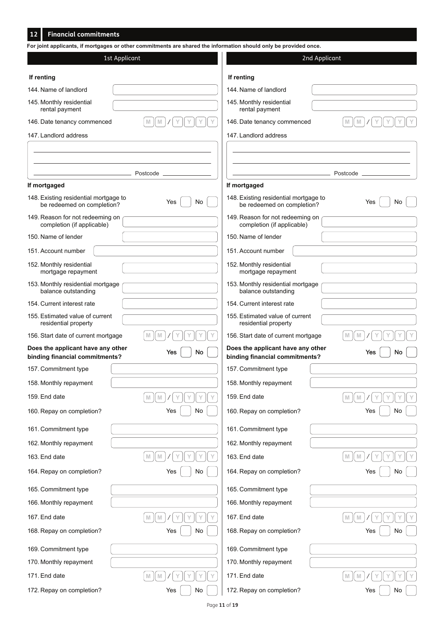#### **Financial commitments 12**

| 1st Applicant                                                       |                       |                                                                     | 2nd Applicant    |
|---------------------------------------------------------------------|-----------------------|---------------------------------------------------------------------|------------------|
| If renting                                                          |                       | If renting                                                          |                  |
| 144. Name of landlord                                               |                       | 144. Name of landlord                                               |                  |
| 145. Monthly residential<br>rental payment                          |                       | 145. Monthly residential<br>rental payment                          |                  |
| 146. Date tenancy commenced                                         | M<br>M                | 146. Date tenancy commenced                                         | M<br>M           |
| 147. Landlord address                                               |                       | 147. Landlord address                                               |                  |
|                                                                     |                       |                                                                     |                  |
|                                                                     |                       |                                                                     |                  |
| If mortgaged                                                        |                       | If mortgaged                                                        |                  |
| 148. Existing residential mortgage to<br>be redeemed on completion? | Yes<br>No             | 148. Existing residential mortgage to<br>be redeemed on completion? | Yes<br>No        |
| 149. Reason for not redeeming on<br>completion (if applicable)      |                       | 149. Reason for not redeeming on<br>completion (if applicable)      |                  |
| 150. Name of lender                                                 |                       | 150. Name of lender                                                 |                  |
| 151. Account number                                                 |                       | 151. Account number                                                 |                  |
| 152. Monthly residential<br>mortgage repayment                      |                       | 152. Monthly residential<br>mortgage repayment                      |                  |
| 153. Monthly residential mortgage<br>balance outstanding            |                       | 153. Monthly residential mortgage<br>balance outstanding            |                  |
| 154. Current interest rate                                          |                       | 154. Current interest rate                                          |                  |
| 155. Estimated value of current<br>residential property             |                       | 155. Estimated value of current<br>residential property             |                  |
| 156. Start date of current mortgage                                 | M<br>M                | 156. Start date of current mortgage                                 |                  |
| Does the applicant have any other<br>binding financial commitments? | No<br>Yes             | Does the applicant have any other<br>binding financial commitments? | Yes<br>No        |
| 157. Commitment type                                                |                       | 157. Commitment type                                                |                  |
| 158. Monthly repayment                                              |                       | 158. Monthly repayment                                              |                  |
| 159. End date                                                       | $\mathbb N$<br>M<br>Υ | 159. End date                                                       | $\mathbb N$<br>M |
| 160. Repay on completion?                                           | Yes<br>No             | 160. Repay on completion?                                           | Yes<br>No        |
| 161. Commitment type                                                |                       | 161. Commitment type                                                |                  |
| 162. Monthly repayment                                              |                       | 162. Monthly repayment                                              |                  |
| 163. End date                                                       | $\mathbb N$<br>M      | 163. End date                                                       | M<br>M           |
| 164. Repay on completion?                                           | Yes<br>No             | 164. Repay on completion?                                           | Yes<br>No        |
| 165. Commitment type                                                |                       | 165. Commitment type                                                |                  |
| 166. Monthly repayment                                              |                       | 166. Monthly repayment                                              |                  |
| 167. End date                                                       | $\mathbb N$<br>M      | 167. End date                                                       | M<br>M           |
| 168. Repay on completion?                                           | Yes<br>No             | 168. Repay on completion?                                           | Yes<br>No        |
| 169. Commitment type                                                |                       | 169. Commitment type                                                |                  |
| 170. Monthly repayment                                              |                       | 170. Monthly repayment                                              |                  |
| 171. End date                                                       | $\mathbb N$<br>M      | 171. End date                                                       | M<br>M           |
| 172. Repay on completion?                                           | No<br>Yes             | 172. Repay on completion?                                           | Yes<br>No        |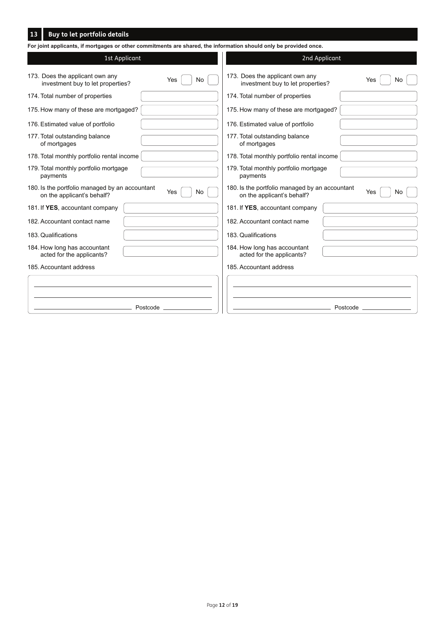## **Buy to let portfolio details 13**

| For joint applicants, if mortgages or other commitments are shared, the information should only be provided once. |                                                                                            |  |  |  |  |  |
|-------------------------------------------------------------------------------------------------------------------|--------------------------------------------------------------------------------------------|--|--|--|--|--|
| 1st Applicant                                                                                                     | 2nd Applicant                                                                              |  |  |  |  |  |
| 173. Does the applicant own any<br>Yes<br>No<br>investment buy to let properties?                                 | 173. Does the applicant own any<br>Yes<br>No.<br>investment buy to let properties?         |  |  |  |  |  |
| 174. Total number of properties                                                                                   | 174. Total number of properties                                                            |  |  |  |  |  |
| 175. How many of these are mortgaged?                                                                             | 175. How many of these are mortgaged?                                                      |  |  |  |  |  |
| 176. Estimated value of portfolio                                                                                 | 176. Estimated value of portfolio                                                          |  |  |  |  |  |
| 177. Total outstanding balance<br>of mortgages                                                                    | 177. Total outstanding balance<br>of mortgages                                             |  |  |  |  |  |
| 178. Total monthly portfolio rental income                                                                        | 178. Total monthly portfolio rental income                                                 |  |  |  |  |  |
| 179. Total monthly portfolio mortgage<br>payments                                                                 | 179. Total monthly portfolio mortgage<br>payments                                          |  |  |  |  |  |
| 180. Is the portfolio managed by an accountant<br>Yes<br><b>No</b><br>on the applicant's behalf?                  | 180. Is the portfolio managed by an accountant<br>Yes<br>No.<br>on the applicant's behalf? |  |  |  |  |  |
| 181. If YES, accountant company                                                                                   | 181. If YES, accountant company                                                            |  |  |  |  |  |
| 182. Accountant contact name                                                                                      | 182. Accountant contact name                                                               |  |  |  |  |  |
| 183. Qualifications                                                                                               | 183. Qualifications                                                                        |  |  |  |  |  |
| 184. How long has accountant<br>acted for the applicants?                                                         | 184. How long has accountant<br>acted for the applicants?                                  |  |  |  |  |  |
| 185. Accountant address                                                                                           | 185. Accountant address                                                                    |  |  |  |  |  |
|                                                                                                                   |                                                                                            |  |  |  |  |  |
|                                                                                                                   |                                                                                            |  |  |  |  |  |
| Postcode                                                                                                          | Postcode                                                                                   |  |  |  |  |  |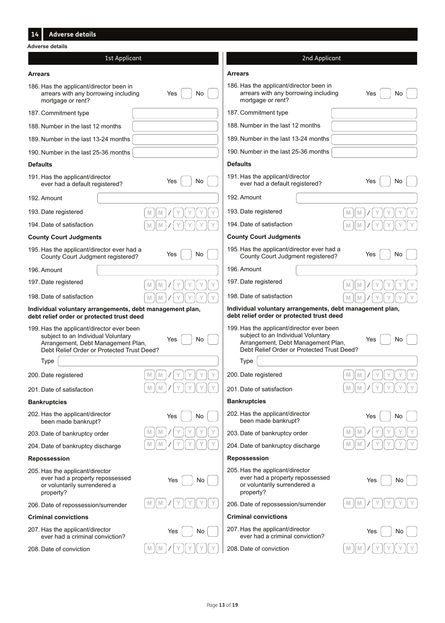#### **Arrears** 186. Has the applicant/director been in arrears with any borrowing including mortgage or rent? 187. Commitment type 188. Number in the last 12 months 189. Number in the last 13-24 months 190. Number in the last 25-36 months **Defaults** 191. Has the applicant/director ever had a default registered? 192. Amount 193. Date registered 194. Date of satisfaction **County Court Judgments** 195. Has the applicant/director ever had a County Court Judgment registered? 196. Amount 197. Date registered 198. Date of satisfaction **Individual voluntary arrangements, debt management plan, debt relief order or protected trust deed** 199. Has the applicant/director ever been subject to an Individual Voluntary Arrangement, Debt Management Plan, Debt Relief Order or Protected Trust Deed? 200. Date registered 201. Date of satisfaction **Bankruptcies** 202. Has the applicant/director been made bankrupt? 203. Date of bankruptcy order 204. Date of bankruptcy discharge **Repossession** 205. Has the applicant/director ever had a property repossessed or voluntarily surrendered a property? 206. Date of repossession/surrender **Criminal convictions** 207. Has the applicant/director ever had a criminal conviction? 208. Date of conviction 2nd Applicant 1st Applicant 2nd Applicant **Adverse details Arrears** 186. Has the applicant/director been in arrears with any borrowing including Yes No Yes No mortgage or rent? 187. Commitment type 188. Number in the last 12 months 189. Number in the last 13-24 months 190. Number in the last 25-36 months **Defaults** 191. Has the applicant/director Yes  $\bigcup$  No  $\bigcup$   $\bigcup$  ever had a default registered?  $\qquad \qquad$  Yes  $\bigcup$  No 192. Amount 193. Date registered **M M M M Y Y Y Y Y Y Y Y**  $M \parallel M \parallel Z \parallel Y \parallel Y \parallel Y \parallel Y$  194. Date of satisfaction  $M \parallel M \parallel Z \parallel Y \parallel Y \parallel Y \parallel Y$ **County Court Judgments** 195. Has the applicant/director ever had a Yes  $\bigcup$  No  $\bigcup$   $\bigcup$  County Court Judgment registered? Yes  $\bigcup$  No 196. Amount  $\mathbb{M} \left[\mathbb{M}\right] / \left[\mathbb{Y}\right] \left[\mathbb{Y}\right] \left[\mathbb{Y}\right] \left[\mathbb{Y}\right]$  197. Date registered **M**  $\left[\begin{array}{c}M\end{array}\right]\left[\begin{array}{c}N\end{array}\right]\left[\begin{array}{c}N\end{array}\right]\left[\begin{array}{c}N\end{array}\right]\left[\begin{array}{c}N\end{array}\right]\left[\begin{array}{c}N\end{array}\right]\left[\begin{array}{c}N\end{array}\right]\left[\begin{array}{c}N\end{array}\right]\left[\begin{array}{c}N\end{array}\right]\left[\begin{array}{c}N\end{array}\right]\left[\begin{array}{c}N\end{array}\right]\left[\begin{array}{c}N\end{array}\right]\left[\begin{array}{c}N\end{array}\right]\left[\begin{array}{c$ **Individual voluntary arrangements, debt management plan, debt relief order or protected trust deed** 199. Has the applicant/director ever been subject to an Individual Voluntary Arrangement, Debt Management Plan, Debt Relief Order or Protected Trust Deed? **M**  $\|M\| \le \|Y\| \le \|Y\| \le 200$ . Date registered  $\|M\| \le \|M\| \le \|Y\| \le \|Y\| \le 200$ 201. Date of satisfaction **M M M M Y Y Y Y Y Y Y Y Bankruptcies**  $Yes \begin{array}{|c|c|c|c|c|}\hline \rule{0pt}{1ex} \rule{0pt}{1ex} \mathsf{No} \end{array} \begin{array}{|c|c|c|c|c|}\hline \rule{0pt}{1ex} \rule{0pt}{1ex} \rule{0pt}{1ex} \mathsf{202} \end{array} \begin{array}{|c|c|c|c|c|}\hline \rule{0pt}{1ex} \rule{0pt}{1ex} \mathsf{202} \end{array} \begin{array}{|c|c|c|c|c|}\hline \rule{0pt}{1ex} \rule{0pt}{1ex} \mathsf{202} \end{array} \begin{array}{|c|c|c$ been made bankrupt? **M**  $\left[\left(\mathbb{M}\right)\right]\left(\mathbb{Y}\right)\left(\mathbb{Y}\right)\left(\mathbb{Y}\right)$  and  $\left[\mathbb{X}\right]$  and  $\left[\mathbb{X}\right]$  and  $\left[\mathbb{X}\right]$  and  $\left[\mathbb{X}\right]\left(\mathbb{Y}\right)$  and  $\left[\mathbb{X}\right]$  and  $\left[\mathbb{X}\right]$  and  $\left[\mathbb{X}\right]$  and  $\left[\mathbb{X}\right]$  and  $\left[\mathbb{X}\right]$  and  $\left[\mathbb{X$ 204. Date of bankruptcy discharge **M M M M Y Y Y Y Y Y Y Y Repossession** 205. Has the applicant/director ever had a property repossessed Yes No Yes No or voluntarily surrendered a property?  $M \parallel M \parallel \vee (\forall \parallel \vee \parallel \vee \parallel \vee \parallel \vee \parallel \vee \parallel \vee \perp \mathbf{206}$ . Date of repossession/surrender  $\qquad \qquad \text{and} \qquad \qquad \text{and} \qquad \text{and} \qquad \text{and} \qquad \text{and} \qquad \text{and} \qquad \text{and} \qquad \text{and} \qquad \text{and} \qquad \text{and} \qquad \text{and} \qquad \text{and} \qquad \text{and} \qquad \text{and} \qquad \text{and} \qquad \text{and}$ **Criminal convictions**  $\gamma_{\rm es}$   $\left[\begin{array}{c|c} \end{array}\right]$  No  $\left[\begin{array}{c|c} \end{array}\right]$  207. Has the applicant/director  $\gamma_{\rm es}$   $\left[\begin{array}{c|c} \end{array}\right]$  No ever had a criminal conviction? **M**  $\|M\| \le \|Y\| \le \|Y\|$  208. Date of conviction  $\|M\| \le \|M\| \le \|Y\| \le \|Y\|$ Yes No Type Yes No **M**  $\left| X \right|$   $\left| Y \right|$   $\left| Y \right|$   $\left| Y \right|$  **i**  $\left| Y \right|$  **i**  $\left| Y \right|$  **i**  $\left| Y \right|$  **i**  $\left| Y \right|$  **i**  $\left| Y \right|$  **i**  $\left| Y \right|$  **i**  $\left| Y \right|$  **i**  $\left| Y \right|$  **i**  $\left| Y \right|$  **i**  $\left| Y \right|$  **i**  $\left| Y \right|$  **i**  $\left| Y \right|$  **i**  $\left| Y \$ **Y**  $\|$  **Y**  $\|$  **Y**  $\|$  **Y**  $\|$  **Y**  $\|$  **V**  $\|$  **V**  $\|$  **V**  $\|$  **W**  $\|$  **V**  $\|$  **W**  $\|$  **V**  $\|$ **Y**  $\parallel$  **Y**  $\parallel$  **Y**  $\parallel$  **Y**  $\parallel$  **Y**  $\parallel$  **Y**  $\parallel$  **W**  $\parallel$  **W**  $\parallel$  **Y**  $\parallel$  **Y**  $\parallel$  **Y**  $\parallel$  **Y**  $\parallel$  **Y**  $\parallel$  **Y**  $\parallel$  **Y**  $\parallel$  **Y**  $\parallel$  **Y**  $\parallel$  **Y**  $\parallel$  **Y**  $\parallel$  **Y**  $\parallel$  **Y**  $\parallel$  **Y**  $\parallel$  **Y**  $\parallel$  **Y**  $\parallel$  **Y**  $\$ **Y**  $\parallel$  **Y**  $\parallel$  **Y**  $\parallel$  **Y**  $\parallel$  **Y**  $\parallel$  **Y**  $\parallel$  **Y**  $\parallel$  **Y**  $\parallel$  **Y**  $\parallel$  **Y**  $\parallel$  **Y**  $\parallel$  **Y**  $\parallel$  **Y**  $\parallel$  **Y**  $\parallel$  **Y**  $\parallel$  **Y**  $\parallel$  **Y**  $\parallel$  **Y**  $\parallel$  **Y**  $\parallel$  **Y**  $\parallel$  **Y**  $\parallel$  **Y**  $\parallel$  **Y**  $\parallel$  **Y**  $\parallel$  **Y**  $\$ **Y**  $\parallel$  M  $\parallel$  M  $\parallel$  Y  $\parallel$  Y  $\parallel$  Y  $\parallel$  Y  $\parallel$  Y **Adverse details** Type

**14**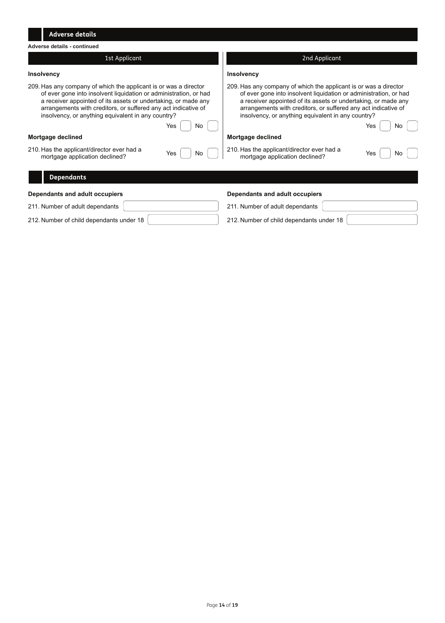| <b>Adverse details</b>                                                                                                                                                                                                                                                                                                                       |                                                                                                                                                                                                                                                                                                                                              |  |  |  |  |
|----------------------------------------------------------------------------------------------------------------------------------------------------------------------------------------------------------------------------------------------------------------------------------------------------------------------------------------------|----------------------------------------------------------------------------------------------------------------------------------------------------------------------------------------------------------------------------------------------------------------------------------------------------------------------------------------------|--|--|--|--|
| Adverse details - continued                                                                                                                                                                                                                                                                                                                  |                                                                                                                                                                                                                                                                                                                                              |  |  |  |  |
| 1st Applicant                                                                                                                                                                                                                                                                                                                                | 2nd Applicant                                                                                                                                                                                                                                                                                                                                |  |  |  |  |
| Insolvency                                                                                                                                                                                                                                                                                                                                   | Insolvency                                                                                                                                                                                                                                                                                                                                   |  |  |  |  |
| 209. Has any company of which the applicant is or was a director<br>of ever gone into insolvent liquidation or administration, or had<br>a receiver appointed of its assets or undertaking, or made any<br>arrangements with creditors, or suffered any act indicative of<br>insolvency, or anything equivalent in any country?<br>Yes<br>No | 209. Has any company of which the applicant is or was a director<br>of ever gone into insolvent liquidation or administration, or had<br>a receiver appointed of its assets or undertaking, or made any<br>arrangements with creditors, or suffered any act indicative of<br>insolvency, or anything equivalent in any country?<br>Yes<br>No |  |  |  |  |
| Mortgage declined                                                                                                                                                                                                                                                                                                                            | Mortgage declined                                                                                                                                                                                                                                                                                                                            |  |  |  |  |
| 210. Has the applicant/director ever had a<br>Yes<br>No<br>mortgage application declined?                                                                                                                                                                                                                                                    | 210. Has the applicant/director ever had a<br>Yes<br>No<br>mortgage application declined?                                                                                                                                                                                                                                                    |  |  |  |  |
| <b>Dependants</b>                                                                                                                                                                                                                                                                                                                            |                                                                                                                                                                                                                                                                                                                                              |  |  |  |  |
| Dependants and adult occupiers                                                                                                                                                                                                                                                                                                               | Dependants and adult occupiers                                                                                                                                                                                                                                                                                                               |  |  |  |  |
| 211. Number of adult dependants                                                                                                                                                                                                                                                                                                              | 211. Number of adult dependants                                                                                                                                                                                                                                                                                                              |  |  |  |  |
| 212. Number of child dependants under 18                                                                                                                                                                                                                                                                                                     | 212. Number of child dependants under 18                                                                                                                                                                                                                                                                                                     |  |  |  |  |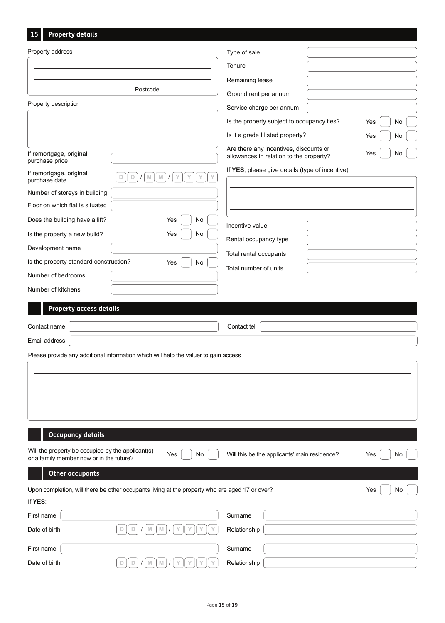|  | 15 | <b>Property details</b> |
|--|----|-------------------------|
|--|----|-------------------------|

| Property address                                                                                           | Type of sale                                                                                   |
|------------------------------------------------------------------------------------------------------------|------------------------------------------------------------------------------------------------|
|                                                                                                            | Tenure                                                                                         |
|                                                                                                            | Remaining lease                                                                                |
| Postcode                                                                                                   | Ground rent per annum                                                                          |
| Property description                                                                                       | Service charge per annum                                                                       |
|                                                                                                            | Is the property subject to occupancy ties?<br>No<br>Yes                                        |
|                                                                                                            | Is it a grade I listed property?<br>Yes<br>No                                                  |
| If remortgage, original<br>purchase price                                                                  | Are there any incentives, discounts or<br>Yes<br>No<br>allowances in relation to the property? |
| If remortgage, original<br>$\mathbb{M}$<br>$\mathbb D$<br>M<br>D<br>purchase date                          | If YES, please give details (type of incentive)                                                |
| Number of storeys in building                                                                              |                                                                                                |
| Floor on which flat is situated                                                                            |                                                                                                |
| Does the building have a lift?<br>Yes<br>No                                                                | Incentive value                                                                                |
| Is the property a new build?<br>Yes<br>No                                                                  |                                                                                                |
| Development name                                                                                           | Rental occupancy type                                                                          |
| Is the property standard construction?<br>Yes<br>No                                                        | Total rental occupants                                                                         |
| Number of bedrooms                                                                                         | Total number of units                                                                          |
| Number of kitchens                                                                                         |                                                                                                |
| <b>Property access details</b>                                                                             |                                                                                                |
| Contact name                                                                                               | Contact tel                                                                                    |
| Email address                                                                                              |                                                                                                |
| Please provide any additional information which will help the valuer to gain access                        |                                                                                                |
|                                                                                                            |                                                                                                |
|                                                                                                            |                                                                                                |
|                                                                                                            |                                                                                                |
|                                                                                                            |                                                                                                |
|                                                                                                            |                                                                                                |
| <b>Occupancy details</b>                                                                                   |                                                                                                |
| Will the property be occupied by the applicant(s)<br>Yes<br>No<br>or a family member now or in the future? | Will this be the applicants' main residence?<br>Yes<br>No                                      |
| <b>Other occupants</b>                                                                                     |                                                                                                |
| Upon completion, will there be other occupants living at the property who are aged 17 or over?             | Yes<br>No                                                                                      |
| If YES:                                                                                                    |                                                                                                |
| First name                                                                                                 | Surname                                                                                        |
| Date of birth<br>D<br>D<br>M<br>M                                                                          | Relationship                                                                                   |
| First name                                                                                                 | Surname                                                                                        |
| $\Box$<br>Date of birth<br>$\Box$<br>M<br>$\mathbb N$                                                      | Relationship                                                                                   |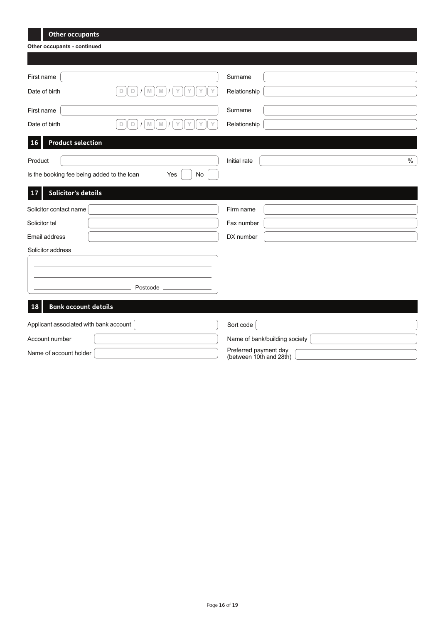| <b>Other occupants</b>                                                |                                                  |
|-----------------------------------------------------------------------|--------------------------------------------------|
| Other occupants - continued                                           |                                                  |
|                                                                       |                                                  |
|                                                                       |                                                  |
| First name                                                            | Surname                                          |
| $\mathbb D$<br>Date of birth<br>$\Box$<br>$\mathbb N$<br>$\mathbb{M}$ | Relationship                                     |
| First name                                                            | Surname                                          |
| Date of birth<br>D<br>M<br>D<br>M                                     | Relationship                                     |
| <b>Product selection</b><br><b>16</b>                                 |                                                  |
| Product                                                               | $\%$<br>Initial rate                             |
| Is the booking fee being added to the loan<br>Yes<br>No               |                                                  |
| <b>Solicitor's details</b><br>17                                      |                                                  |
| Solicitor contact name                                                | Firm name                                        |
| Solicitor tel                                                         | Fax number                                       |
| Email address                                                         | DX number                                        |
| Solicitor address                                                     |                                                  |
|                                                                       |                                                  |
|                                                                       |                                                  |
| Postcode                                                              |                                                  |
| <b>Bank account details</b><br>18                                     |                                                  |
| Applicant associated with bank account                                | Sort code                                        |
| Account number                                                        | Name of bank/building society                    |
| Name of account holder                                                | Preferred payment day<br>(between 10th and 28th) |

**The Common**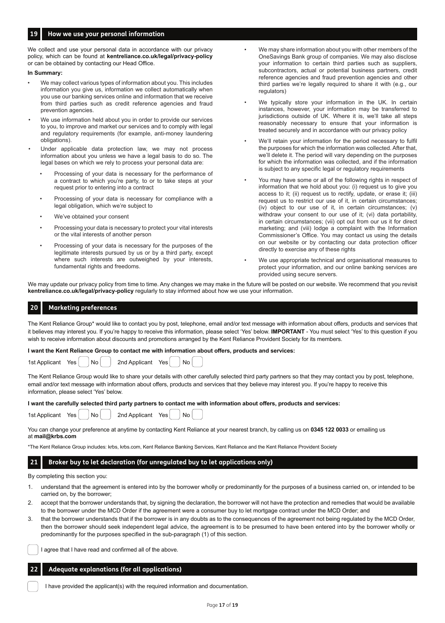### **19 How we use your personal information**

We collect and use your personal data in accordance with our privacy policy, which can be found at **kentreliance.co.uk/legal/privacy-policy** or can be obtained by contacting our Head Office.

### **In Summary:**

- We may collect various types of information about you. This includes information you give us, information we collect automatically when you use our banking services online and information that we receive from third parties such as credit reference agencies and fraud prevention agencies.
- We use information held about you in order to provide our services to you, to improve and market our services and to comply with legal and regulatory requirements (for example, anti-money laundering obligations).
- Under applicable data protection law, we may not process information about you unless we have a legal basis to do so. The legal bases on which we rely to process your personal data are:
	- Processing of your data is necessary for the performance of a contract to which you're party, to or to take steps at your request prior to entering into a contract
	- Processing of your data is necessary for compliance with a legal obligation, which we're subject to
	- We've obtained your consent
	- Processing your data is necessary to protect your vital interests or the vital interests of another person
	- Processing of your data is necessary for the purposes of the legitimate interests pursued by us or by a third party, except where such interests are outweighed by your interests, fundamental rights and freedoms.
- We may share information about you with other members of the OneSavings Bank group of companies. We may also disclose your information to certain third parties such as suppliers, subcontractors, actual or potential business partners, credit reference agencies and fraud prevention agencies and other third parties we're legally required to share it with (e.g., our regulators)
- We typically store your information in the UK. In certain instances, however, your information may be transferred to jurisdictions outside of UK. Where it is, we'll take all steps reasonably necessary to ensure that your information is treated securely and in accordance with our privacy policy
- We'll retain your information for the period necessary to fulfil the purposes for which the information was collected. After that we'll delete it. The period will vary depending on the purposes for which the information was collected, and if the information is subject to any specific legal or regulatory requirements
- You may have some or all of the following rights in respect of information that we hold about you: (i) request us to give you access to it; (ii) request us to rectify, update, or erase it; (iii) request us to restrict our use of it, in certain circumstances; (iv) object to our use of it, in certain circumstances; (v) withdraw your consent to our use of it; (vi) data portability, in certain circumstances; (vii) opt out from our us it for direct marketing; and (viii) lodge a complaint with the Information Commissioner's Office. You may contact us using the details on our website or by contacting our data protection officer directly to exercise any of these rights
- We use appropriate technical and organisational measures to protect your information, and our online banking services are provided using secure servers.

We may update our privacy policy from time to time. Any changes we may make in the future will be posted on our website. We recommend that you revisit **kentreliance.co.uk/legal/privacy-policy** regularly to stay informed about how we use your information.

#### **Marketing preferences 20**

The Kent Reliance Group\* would like to contact you by post, telephone, email and/or text message with information about offers, products and services that it believes may interest you. If you're happy to receive this information, please select 'Yes' below. **IMPORTANT** - You must select 'Yes' to this question if you wish to receive information about discounts and promotions arranged by the Kent Reliance Provident Society for its members.

**I want the Kent Reliance Group to contact me with information about offers, products and services:**

| 1st Applicant | Yes |
|---------------|-----|
|               |     |

| 1st Applicant | Yes | No. | 2nd Applicant | Yes i | No. |  |
|---------------|-----|-----|---------------|-------|-----|--|
|               |     |     |               |       |     |  |

The Kent Reliance Group would like to share your details with other carefully selected third party partners so that they may contact you by post, telephone, email and/or text message with information about offers, products and services that they believe may interest you. If you're happy to receive this information, please select 'Yes' below.

**I want the carefully selected third party partners to contact me with information about offers, products and services:**

1st Applicant Yes  $\vert$   $\vert$  No  $\vert$   $\vert$  2nd Applicant Yes  $\vert$  No

You can change your preference at anytime by contacting Kent Reliance at your nearest branch, by calling us on **0345 122 0033** or emailing us at **mail@krbs.com**

\*The Kent Reliance Group includes: krbs, krbs.com, Kent Reliance Banking Services, Kent Reliance and the Kent Reliance Provident Society

#### **Broker buy to let declaration (for unregulated buy to let applications only) 21**

By completing this section you:

**22**

- 1. understand that the agreement is entered into by the borrower wholly or predominantly for the purposes of a business carried on, or intended to be carried on, by the borrower;
- 2. accept that the borrower understands that, by signing the declaration, the borrower will not have the protection and remedies that would be available to the borrower under the MCD Order if the agreement were a consumer buy to let mortgage contract under the MCD Order; and
- that the borrower understands that if the borrower is in any doubts as to the consequences of the agreement not being regulated by the MCD Order, then the borrower should seek independent legal advice, the agreement is to be presumed to have been entered into by the borrower wholly or predominantly for the purposes specified in the sub-paragraph (1) of this section.

I agree that I have read and confirmed all of the above.

## **Adequate explanations (for all applications)**

I have provided the applicant(s) with the required information and documentation.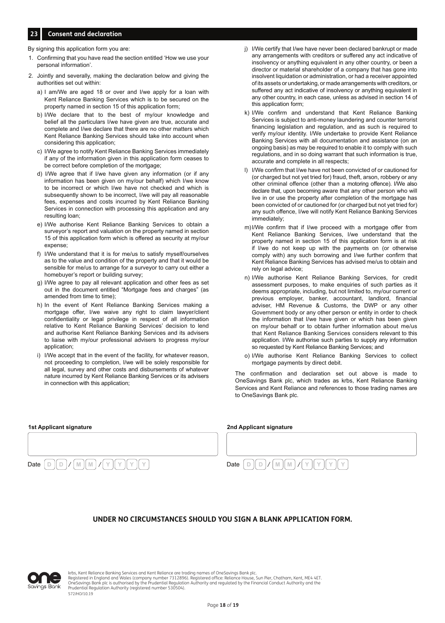## **23 Consent and declaration**

By signing this application form you are:

- 1. Confirming that you have read the section entitled 'How we use your personal information'.
- 2. Jointly and severally, making the declaration below and giving the authorities set out within:
	- a) I am/We are aged 18 or over and I/we apply for a loan with Kent Reliance Banking Services which is to be secured on the property named in section 15 of this application form;
	- b) I/We declare that to the best of my/our knowledge and belief all the particulars I/we have given are true, accurate and complete and I/we declare that there are no other matters which Kent Reliance Banking Services should take into account when considering this application;
	- c) I/We agree to notify Kent Reliance Banking Services immediately if any of the information given in this application form ceases to be correct before completion of the mortgage;
	- d) I/We agree that if I/we have given any information (or if any information has been given on my/our behalf) which I/we know to be incorrect or which I/we have not checked and which is subsequently shown to be incorrect, I/we will pay all reasonable fees, expenses and costs incurred by Kent Reliance Banking Services in connection with processing this application and any resulting loan;
	- e) I/We authorise Kent Reliance Banking Services to obtain a surveyor's report and valuation on the property named in section 15 of this application form which is offered as security at my/our expense;
	- I/We understand that it is for me/us to satisfy myself/ourselves as to the value and condition of the property and that it would be sensible for me/us to arrange for a surveyor to carry out either a homebuyer's report or building survey;
	- g) I/We agree to pay all relevant application and other fees as set out in the document entitled "Mortgage fees and charges" (as amended from time to time);
	- h) In the event of Kent Reliance Banking Services making a mortgage offer, I/we waive any right to claim lawyer/client confidentiality or legal privilege in respect of all information relative to Kent Reliance Banking Services' decision to lend and authorise Kent Reliance Banking Services and its advisers to liaise with my/our professional advisers to progress my/our application;
	- i) I/We accept that in the event of the facility, for whatever reason, not proceeding to completion, I/we will be solely responsible for all legal, survey and other costs and disbursements of whatever nature incurred by Kent Reliance Banking Services or its advisers in connection with this application;
- j) I/We certify that I/we have never been declared bankrupt or made any arrangements with creditors or suffered any act indicative of insolvency or anything equivalent in any other country, or been a director or material shareholder of a company that has gone into insolvent liquidation or administration, or had a receiver appointed of its assets or undertaking, or made arrangements with creditors, or suffered any act indicative of insolvency or anything equivalent in any other country, in each case, unless as advised in section 14 of this application form;
- k) I/We confirm and understand that Kent Reliance Banking Services is subject to anti-money laundering and counter terrorist financing legislation and regulation, and as such is required to verify my/our identity. I/We undertake to provide Kent Reliance Banking Services with all documentation and assistance (on an ongoing basis) as may be required to enable it to comply with such regulations, and in so doing warrant that such information is true, accurate and complete in all respects;
- l) I/We confirm that I/we have not been convicted of or cautioned for (or charged but not yet tried for) fraud, theft, arson, robbery or any other criminal offence (other than a motoring offence). I/We also declare that, upon becoming aware that any other person who will live in or use the property after completion of the mortgage has been convicted of or cautioned for (or charged but not yet tried for) any such offence, I/we will notify Kent Reliance Banking Services immediately;
- m)I/We confirm that if I/we proceed with a mortgage offer from Kent Reliance Banking Services, I/we understand that the property named in section 15 of this application form is at risk if I/we do not keep up with the payments on (or otherwise comply with) any such borrowing and I/we further confirm that Kent Reliance Banking Services has advised me/us to obtain and rely on legal advice;
- n) I/We authorise Kent Reliance Banking Services, for credit assessment purposes, to make enquiries of such parties as it deems appropriate, including, but not limited to, my/our current or previous employer, banker, accountant, landlord, financial adviser, HM Revenue & Customs, the DWP or any other Government body or any other person or entity in order to check the information that I/we have given or which has been given on my/our behalf or to obtain further information about me/us that Kent Reliance Banking Services considers relevant to this application. I/We authorise such parties to supply any information so requested by Kent Reliance Banking Services; and
- o) I/We authorise Kent Reliance Banking Services to collect mortgage payments by direct debit.

The confirmation and declaration set out above is made to OneSavings Bank plc, which trades as krbs, Kent Reliance Banking Services and Kent Reliance and references to those trading names are to OneSavings Bank plc.

| 1st Applicant signature | 2nd Applicant signature |
|-------------------------|-------------------------|
|                         |                         |
|                         |                         |
| Date<br><b>IVI</b>      | Date                    |

## **UNDER NO CIRCUMSTANCES SHOULD YOU SIGN A BLANK APPLICATION FORM.**